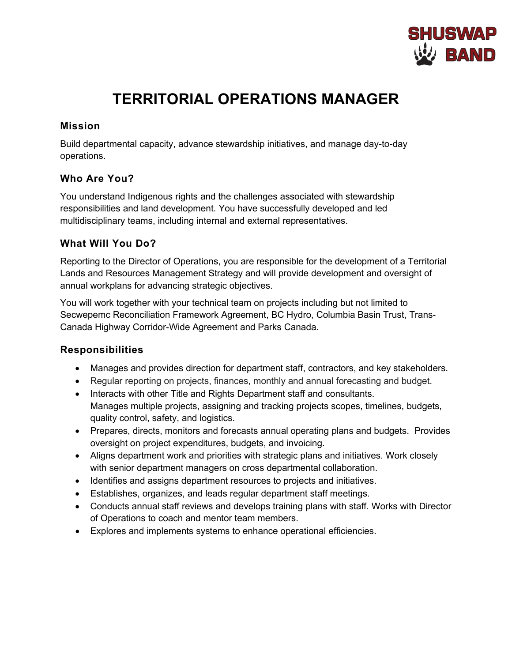

# **TERRITORIAL OPERATIONS MANAGER**

## **Mission**

Build departmental capacity, advance stewardship initiatives, and manage day-to-day operations.

# **Who Are You?**

You understand Indigenous rights and the challenges associated with stewardship responsibilities and land development. You have successfully developed and led multidisciplinary teams, including internal and external representatives.

# **What Will You Do?**

Reporting to the Director of Operations, you are responsible for the development of a Territorial Lands and Resources Management Strategy and will provide development and oversight of annual workplans for advancing strategic objectives.

You will work together with your technical team on projects including but not limited to Secwepemc Reconciliation Framework Agreement, BC Hydro, Columbia Basin Trust, Trans-Canada Highway Corridor-Wide Agreement and Parks Canada.

#### **Responsibilities**

- Manages and provides direction for department staff, contractors, and key stakeholders.
- Regular reporting on projects, finances, monthly and annual forecasting and budget.
- Interacts with other Title and Rights Department staff and consultants. Manages multiple projects, assigning and tracking projects scopes, timelines, budgets, quality control, safety, and logistics.
- Prepares, directs, monitors and forecasts annual operating plans and budgets. Provides oversight on project expenditures, budgets, and invoicing.
- Aligns department work and priorities with strategic plans and initiatives. Work closely with senior department managers on cross departmental collaboration.
- Identifies and assigns department resources to projects and initiatives.
- Establishes, organizes, and leads regular department staff meetings.
- Conducts annual staff reviews and develops training plans with staff. Works with Director of Operations to coach and mentor team members.
- Explores and implements systems to enhance operational efficiencies.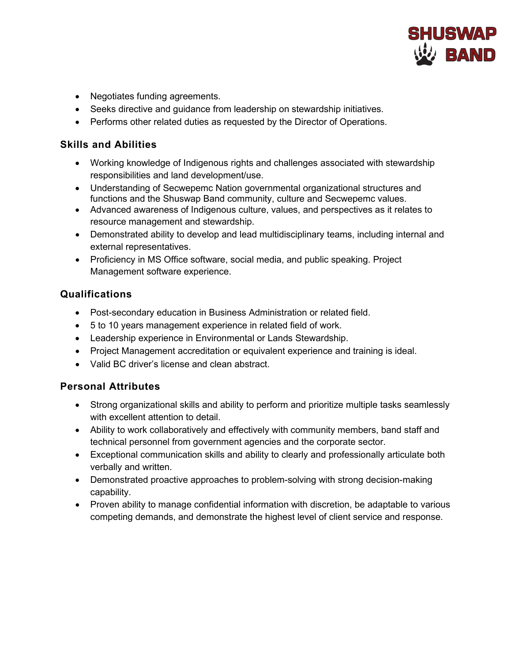

- Negotiates funding agreements.
- Seeks directive and guidance from leadership on stewardship initiatives.
- Performs other related duties as requested by the Director of Operations.

#### **Skills and Abilities**

- Working knowledge of Indigenous rights and challenges associated with stewardship responsibilities and land development/use.
- Understanding of Secwepemc Nation governmental organizational structures and functions and the Shuswap Band community, culture and Secwepemc values.
- Advanced awareness of Indigenous culture, values, and perspectives as it relates to resource management and stewardship.
- Demonstrated ability to develop and lead multidisciplinary teams, including internal and external representatives.
- Proficiency in MS Office software, social media, and public speaking. Project Management software experience.

## **Qualifications**

- Post-secondary education in Business Administration or related field.
- 5 to 10 years management experience in related field of work.
- Leadership experience in Environmental or Lands Stewardship.
- Project Management accreditation or equivalent experience and training is ideal.
- Valid BC driver's license and clean abstract.

#### **Personal Attributes**

- Strong organizational skills and ability to perform and prioritize multiple tasks seamlessly with excellent attention to detail.
- Ability to work collaboratively and effectively with community members, band staff and technical personnel from government agencies and the corporate sector.
- Exceptional communication skills and ability to clearly and professionally articulate both verbally and written.
- Demonstrated proactive approaches to problem-solving with strong decision-making capability.
- Proven ability to manage confidential information with discretion, be adaptable to various competing demands, and demonstrate the highest level of client service and response.